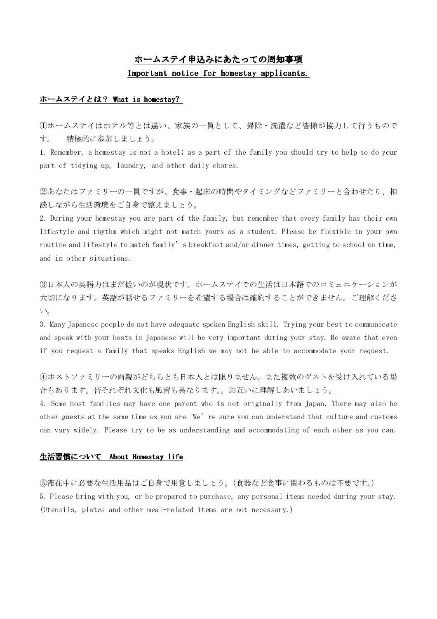# ホームステイ申込みにあたっての周知事項 Important notice for homestay applicants.

# ホームステイとは? What is homestay?

①ホームステイはホテル等とは違い、家族の一員として、掃除・洗濯など皆様が協力して行うもので す。 積極的に参加しましょう。

1. Remember, a homestay is not a hotel; as a part of the family you should try to help to do your part of tidying up, laundry, and other daily chores.

②あなたはファミリーの一員ですが、食事・起床の時間やタイミングなどファミリーと合わせたり、相 談しながら生活環境をご自身で整えましょう。

2. During your homestay you are part of the family, but remember that every family has their own lifestyle and rhythm which might not match yours as a student. Please be flexible in your own routine and lifestyle to match family's breakfast and/or dinner times, getting to school on time, and in other situations.

③日本人の英語力はまだ低いのが現状です。ホームステイでの生活は日本語でのコミュニケーションが 大切になります。英語が話せるファミリーを希望する場合は確約することができません。ご理解くださ い。

3. Many Japanese people do not have adequate spoken English skill. Trying your best to communicate and speak with your hosts in Japanese will be very important during your stay. Be aware that even if you request a family that speaks English we may not be able to accommodate your request.

④ホストファミリーの両親がどちらとも日本人とは限りません。また複数のゲストを受け入れている場 合もあります。皆それぞれ文化も風習も異なります。。お互いに理解しあいましょう。

4. Some host families may have one parent who is not originally from Japan. There may also be other guests at the same time as you are. We're sure you can understand that culture and customs can vary widely. Please try to be as understanding and accommodating of each other as you can.

### 生活習慣について About Homestay life

⑤滞在中に必要な生活用品はご自身で用意しましょう。(食器など食事に関わるものは不要です。) 5. Please bring with you, or be prepared to purchase, any personal items needed during your stay. (Utensils, plates and other meal-related items are not necessary.)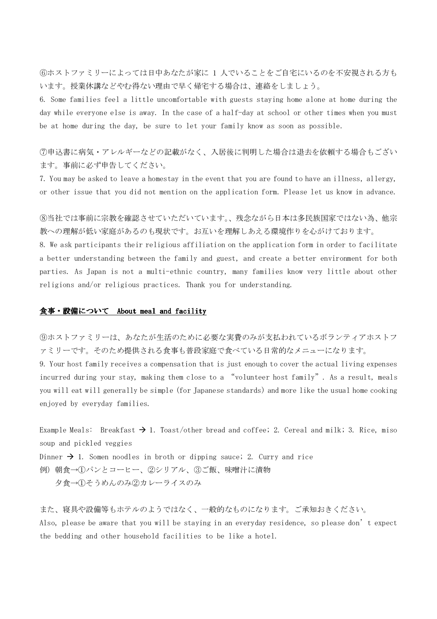⑥ホストファミリーによっては日中あなたが家に 1 人でいることをご自宅にいるのを不安視される方も います。授業休講などやむ得ない理由で早く帰宅する場合は、連絡をしましょう。

6. Some families feel a little uncomfortable with guests staying home alone at home during the day while everyone else is away. In the case of a half-day at school or other times when you must be at home during the day, be sure to let your family know as soon as possible.

⑦申込書に病気・アレルギーなどの記載がなく、入居後に判明した場合は退去を依頼する場合もござい ます。事前に必ず申告してください。

7. You may be asked to leave a homestay in the event that you are found to have an illness, allergy, or other issue that you did not mention on the application form. Please let us know in advance.

⑧当社では事前に宗教を確認させていただいています。、残念ながら日本は多民族国家ではない為、他宗 教への理解が低い家庭があるのも現状です。お互いを理解しあえる環境作りを心がけております。

8. We ask participants their religious affiliation on the application form in order to facilitate a better understanding between the family and guest, and create a better environment for both parties. As Japan is not a multi-ethnic country, many families know very little about other religions and/or religious practices. Thank you for understanding.

# 食事・設備について About meal and facility

⑨ホストファミリーは、あなたが生活のために必要な実費のみが支払われているボランティアホストフ ァミリーです。そのため提供される食事も普段家庭で食べている日常的なメニューになります。

9. Your host family receives a compensation that is just enough to cover the actual living expenses incurred during your stay, making them close to a "volunteer host family". As a result, meals you will eat will generally be simple (for Japanese standards) and more like the usual home cooking enjoyed by everyday families.

Example Meals: Breakfast  $\rightarrow$  1. Toast/other bread and coffee; 2. Cereal and milk; 3. Rice, miso soup and pickled veggies

Dinner  $\rightarrow$  1. Somen noodles in broth or dipping sauce; 2. Curry and rice

例) 朝食→①パンとコーヒー、②シリアル、③ご飯、味噌汁に漬物 夕食→①そうめんのみ②カレーライスのみ

また、寝具や設備等もホテルのようではなく、一般的なものになります。ご承知おきください。 Also, please be aware that you will be staying in an everyday residence, so please don't expect the bedding and other household facilities to be like a hotel.